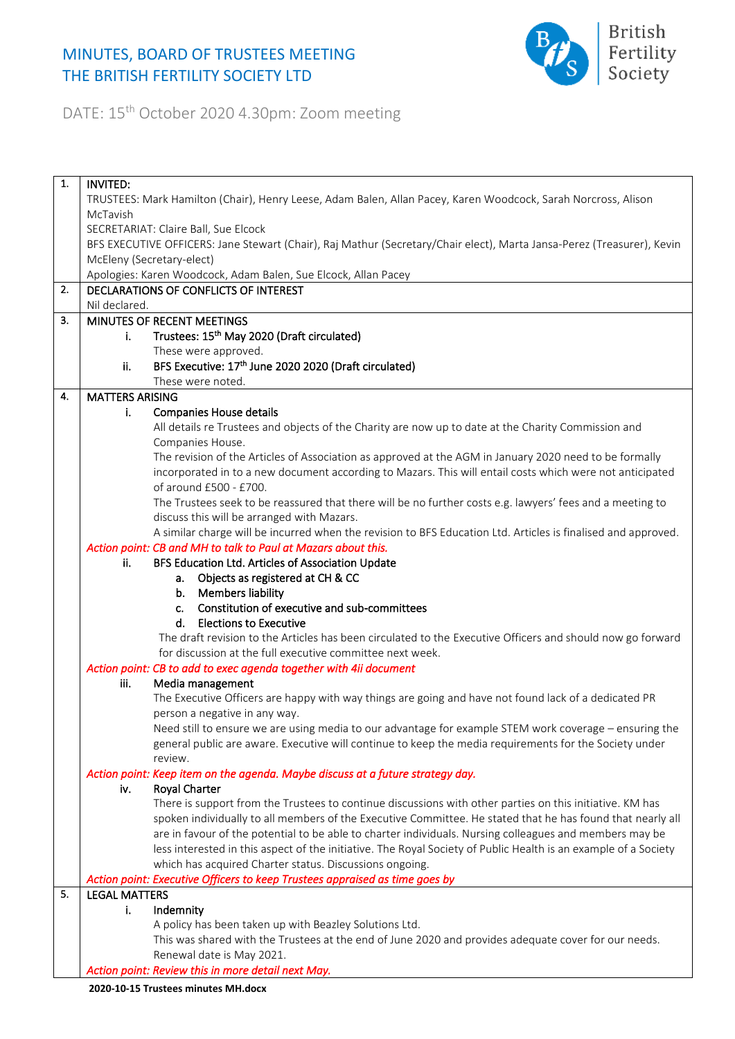## MINUTES, BOARD OF TRUSTEES MEETING THE BRITISH FERTILITY SOCIETY LTD



DATE: 15th October 2020 4.30pm: Zoom meeting

| 1. | <b>INVITED:</b>                                                                                                        |                                                                                                                 |  |
|----|------------------------------------------------------------------------------------------------------------------------|-----------------------------------------------------------------------------------------------------------------|--|
|    | TRUSTEES: Mark Hamilton (Chair), Henry Leese, Adam Balen, Allan Pacey, Karen Woodcock, Sarah Norcross, Alison          |                                                                                                                 |  |
|    | McTavish                                                                                                               |                                                                                                                 |  |
|    |                                                                                                                        | SECRETARIAT: Claire Ball, Sue Elcock                                                                            |  |
|    | BFS EXECUTIVE OFFICERS: Jane Stewart (Chair), Raj Mathur (Secretary/Chair elect), Marta Jansa-Perez (Treasurer), Kevin |                                                                                                                 |  |
|    | McEleny (Secretary-elect)                                                                                              |                                                                                                                 |  |
|    |                                                                                                                        | Apologies: Karen Woodcock, Adam Balen, Sue Elcock, Allan Pacey                                                  |  |
| 2. |                                                                                                                        | DECLARATIONS OF CONFLICTS OF INTEREST                                                                           |  |
|    | Nil declared.                                                                                                          |                                                                                                                 |  |
| 3. |                                                                                                                        | MINUTES OF RECENT MEETINGS                                                                                      |  |
|    | j.                                                                                                                     | Trustees: 15 <sup>th</sup> May 2020 (Draft circulated)                                                          |  |
|    |                                                                                                                        | These were approved.                                                                                            |  |
|    | ii.                                                                                                                    | BFS Executive: 17th June 2020 2020 (Draft circulated)                                                           |  |
|    |                                                                                                                        |                                                                                                                 |  |
|    |                                                                                                                        | These were noted.                                                                                               |  |
| 4. | <b>MATTERS ARISING</b>                                                                                                 |                                                                                                                 |  |
|    | i.                                                                                                                     | <b>Companies House details</b>                                                                                  |  |
|    |                                                                                                                        | All details re Trustees and objects of the Charity are now up to date at the Charity Commission and             |  |
|    |                                                                                                                        | Companies House.                                                                                                |  |
|    |                                                                                                                        | The revision of the Articles of Association as approved at the AGM in January 2020 need to be formally          |  |
|    |                                                                                                                        | incorporated in to a new document according to Mazars. This will entail costs which were not anticipated        |  |
|    |                                                                                                                        | of around £500 - £700.                                                                                          |  |
|    |                                                                                                                        | The Trustees seek to be reassured that there will be no further costs e.g. lawyers' fees and a meeting to       |  |
|    |                                                                                                                        | discuss this will be arranged with Mazars.                                                                      |  |
|    |                                                                                                                        | A similar charge will be incurred when the revision to BFS Education Ltd. Articles is finalised and approved.   |  |
|    |                                                                                                                        | Action point: CB and MH to talk to Paul at Mazars about this.                                                   |  |
|    | ii.                                                                                                                    | BFS Education Ltd. Articles of Association Update                                                               |  |
|    |                                                                                                                        | a. Objects as registered at CH & CC                                                                             |  |
|    |                                                                                                                        | b. Members liability                                                                                            |  |
|    |                                                                                                                        | Constitution of executive and sub-committees<br>$c_{n-1}$                                                       |  |
|    |                                                                                                                        | d. Elections to Executive                                                                                       |  |
|    |                                                                                                                        | The draft revision to the Articles has been circulated to the Executive Officers and should now go forward      |  |
|    |                                                                                                                        | for discussion at the full executive committee next week.                                                       |  |
|    |                                                                                                                        | Action point: CB to add to exec agenda together with 4ii document                                               |  |
|    | iii.                                                                                                                   | Media management                                                                                                |  |
|    |                                                                                                                        | The Executive Officers are happy with way things are going and have not found lack of a dedicated PR            |  |
|    |                                                                                                                        | person a negative in any way.                                                                                   |  |
|    |                                                                                                                        | Need still to ensure we are using media to our advantage for example STEM work coverage - ensuring the          |  |
|    |                                                                                                                        | general public are aware. Executive will continue to keep the media requirements for the Society under          |  |
|    |                                                                                                                        | review.                                                                                                         |  |
|    |                                                                                                                        | Action point: Keep item on the agenda. Maybe discuss at a future strategy day.                                  |  |
|    | iv.                                                                                                                    | <b>Royal Charter</b>                                                                                            |  |
|    |                                                                                                                        | There is support from the Trustees to continue discussions with other parties on this initiative. KM has        |  |
|    |                                                                                                                        |                                                                                                                 |  |
|    |                                                                                                                        | spoken individually to all members of the Executive Committee. He stated that he has found that nearly all      |  |
|    |                                                                                                                        | are in favour of the potential to be able to charter individuals. Nursing colleagues and members may be         |  |
|    |                                                                                                                        | less interested in this aspect of the initiative. The Royal Society of Public Health is an example of a Society |  |
|    |                                                                                                                        | which has acquired Charter status. Discussions ongoing.                                                         |  |
|    |                                                                                                                        | Action point: Executive Officers to keep Trustees appraised as time goes by                                     |  |
| 5. | <b>LEGAL MATTERS</b>                                                                                                   |                                                                                                                 |  |
|    | j.                                                                                                                     | Indemnity                                                                                                       |  |
|    |                                                                                                                        | A policy has been taken up with Beazley Solutions Ltd.                                                          |  |
|    |                                                                                                                        | This was shared with the Trustees at the end of June 2020 and provides adequate cover for our needs.            |  |
|    |                                                                                                                        | Renewal date is May 2021.                                                                                       |  |
|    |                                                                                                                        | Action point: Review this in more detail next May.                                                              |  |
|    |                                                                                                                        | 2020-10-15 Trustees minutes MH.docx                                                                             |  |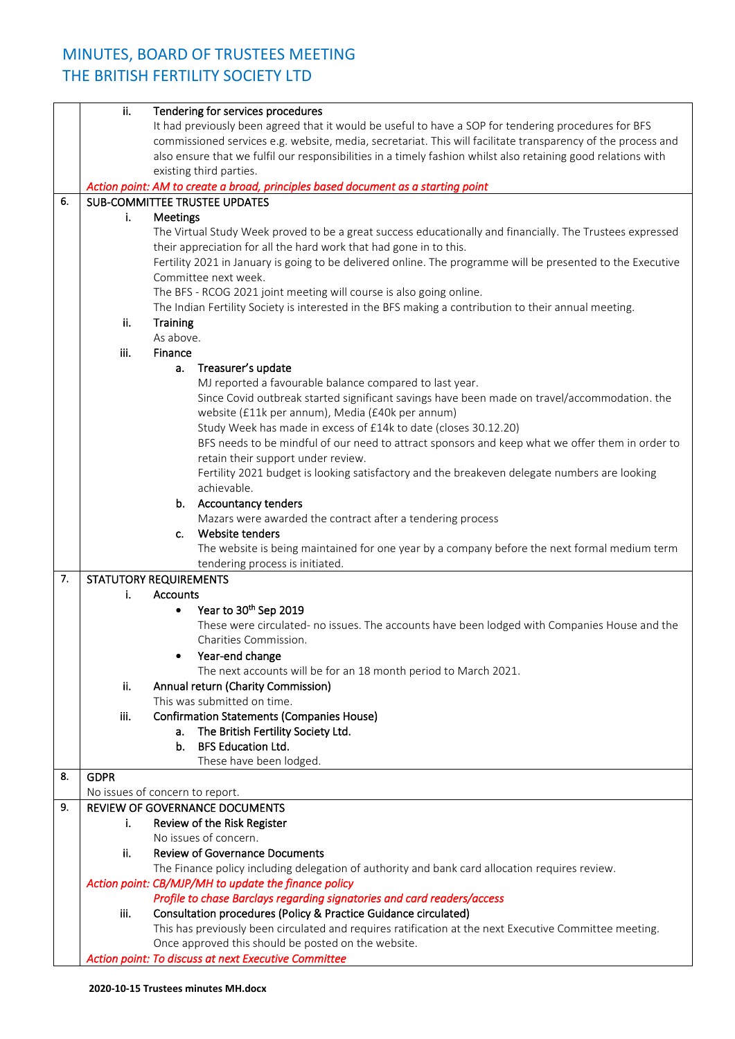## MINUTES, BOARD OF TRUSTEES MEETING THE BRITISH FERTILITY SOCIETY LTD

|    | ii.         | Tendering for services procedures                                                                                     |
|----|-------------|-----------------------------------------------------------------------------------------------------------------------|
|    |             | It had previously been agreed that it would be useful to have a SOP for tendering procedures for BFS                  |
|    |             | commissioned services e.g. website, media, secretariat. This will facilitate transparency of the process and          |
|    |             | also ensure that we fulfil our responsibilities in a timely fashion whilst also retaining good relations with         |
|    |             | existing third parties.                                                                                               |
|    |             | Action point: AM to create a broad, principles based document as a starting point                                     |
| 6. |             | SUB-COMMITTEE TRUSTEE UPDATES                                                                                         |
|    | i.          | Meetings                                                                                                              |
|    |             | The Virtual Study Week proved to be a great success educationally and financially. The Trustees expressed             |
|    |             | their appreciation for all the hard work that had gone in to this.                                                    |
|    |             | Fertility 2021 in January is going to be delivered online. The programme will be presented to the Executive           |
|    |             | Committee next week.                                                                                                  |
|    |             | The BFS - RCOG 2021 joint meeting will course is also going online.                                                   |
|    |             | The Indian Fertility Society is interested in the BFS making a contribution to their annual meeting.                  |
|    | ii.         | <b>Training</b>                                                                                                       |
|    |             | As above.                                                                                                             |
|    | iii.        | Finance                                                                                                               |
|    |             | Treasurer's update<br>а.                                                                                              |
|    |             | MJ reported a favourable balance compared to last year.                                                               |
|    |             | Since Covid outbreak started significant savings have been made on travel/accommodation. the                          |
|    |             | website (£11k per annum), Media (£40k per annum)                                                                      |
|    |             | Study Week has made in excess of £14k to date (closes 30.12.20)                                                       |
|    |             | BFS needs to be mindful of our need to attract sponsors and keep what we offer them in order to                       |
|    |             | retain their support under review.                                                                                    |
|    |             | Fertility 2021 budget is looking satisfactory and the breakeven delegate numbers are looking                          |
|    |             | achievable.                                                                                                           |
|    |             | b. Accountancy tenders                                                                                                |
|    |             | Mazars were awarded the contract after a tendering process                                                            |
|    |             | Website tenders<br>c.                                                                                                 |
|    |             | The website is being maintained for one year by a company before the next formal medium term                          |
|    |             | tendering process is initiated.                                                                                       |
| 7. |             | <b>STATUTORY REQUIREMENTS</b>                                                                                         |
|    | i.          | <b>Accounts</b>                                                                                                       |
|    |             | Year to 30 <sup>th</sup> Sep 2019<br>$\bullet$                                                                        |
|    |             | These were circulated- no issues. The accounts have been lodged with Companies House and the<br>Charities Commission. |
|    |             |                                                                                                                       |
|    |             | Year-end change<br>The next accounts will be for an 18 month period to March 2021.                                    |
|    | ii.         | Annual return (Charity Commission)                                                                                    |
|    |             | This was submitted on time.                                                                                           |
|    | iii.        | <b>Confirmation Statements (Companies House)</b>                                                                      |
|    |             | The British Fertility Society Ltd.<br>a.                                                                              |
|    |             | <b>BFS Education Ltd.</b><br>b.                                                                                       |
|    |             | These have been lodged.                                                                                               |
| 8. | <b>GDPR</b> |                                                                                                                       |
|    |             | No issues of concern to report.                                                                                       |
| 9. |             | REVIEW OF GOVERNANCE DOCUMENTS                                                                                        |
|    | i.          | Review of the Risk Register                                                                                           |
|    |             | No issues of concern.                                                                                                 |
|    | ii.         | <b>Review of Governance Documents</b>                                                                                 |
|    |             | The Finance policy including delegation of authority and bank card allocation requires review.                        |
|    |             | Action point: CB/MJP/MH to update the finance policy                                                                  |
|    |             | Profile to chase Barclays regarding signatories and card readers/access                                               |
|    | iii.        | Consultation procedures (Policy & Practice Guidance circulated)                                                       |
|    |             | This has previously been circulated and requires ratification at the next Executive Committee meeting.                |
|    |             | Once approved this should be posted on the website.                                                                   |
|    |             | Action point: To discuss at next Executive Committee                                                                  |